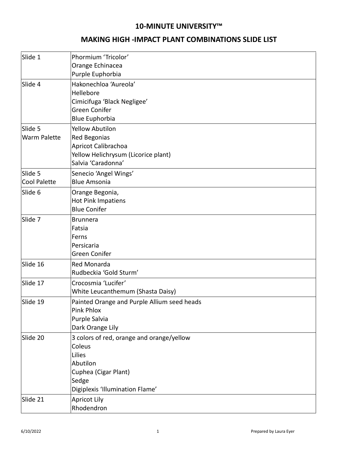## **10-MINUTE UNIVERSITY™**

## **MAKING HIGH -IMPACT PLANT COMBINATIONS SLIDE LIST**

| Slide 1                        | Phormium 'Tricolor'<br>Orange Echinacea<br>Purple Euphorbia                                                                                   |
|--------------------------------|-----------------------------------------------------------------------------------------------------------------------------------------------|
| Slide 4                        | Hakonechloa 'Aureola'<br>Hellebore<br>Cimicifuga 'Black Negligee'<br>Green Conifer<br><b>Blue Euphorbia</b>                                   |
| Slide 5<br><b>Warm Palette</b> | <b>Yellow Abutilon</b><br><b>Red Begonias</b><br>Apricot Calibrachoa<br>Yellow Helichrysum (Licorice plant)<br>Salvia 'Caradonna'             |
| Slide 5<br><b>Cool Palette</b> | Senecio 'Angel Wings'<br><b>Blue Amsonia</b>                                                                                                  |
| Slide 6                        | Orange Begonia,<br>Hot Pink Impatiens<br><b>Blue Conifer</b>                                                                                  |
| Slide 7                        | <b>Brunnera</b><br>Fatsia<br>Ferns<br>Persicaria<br>Green Conifer                                                                             |
| Slide 16                       | Red Monarda<br>Rudbeckia 'Gold Sturm'                                                                                                         |
| Slide 17                       | Crocosmia 'Lucifer'<br>White Leucanthemum (Shasta Daisy)                                                                                      |
| Slide 19                       | Painted Orange and Purple Allium seed heads<br><b>Pink Phlox</b><br>Purple Salvia<br>Dark Orange Lily                                         |
| Slide 20                       | 3 colors of red, orange and orange/yellow<br>Coleus<br>Lilies<br>Abutilon<br>Cuphea (Cigar Plant)<br>Sedge<br>Digiplexis 'Illumination Flame' |
| Slide 21                       | <b>Apricot Lily</b><br>Rhodendron                                                                                                             |